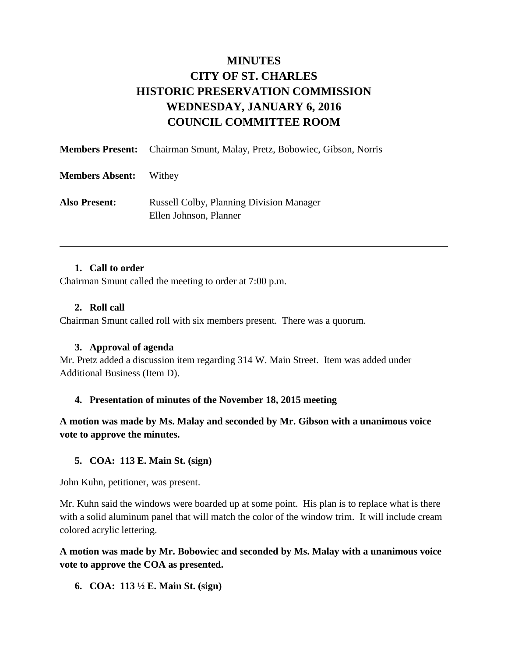# **MINUTES CITY OF ST. CHARLES HISTORIC PRESERVATION COMMISSION WEDNESDAY, JANUARY 6, 2016 COUNCIL COMMITTEE ROOM**

|                        | <b>Members Present:</b> Chairman Smunt, Malay, Pretz, Bobowiec, Gibson, Norris |
|------------------------|--------------------------------------------------------------------------------|
| <b>Members Absent:</b> | Withey                                                                         |
| <b>Also Present:</b>   | <b>Russell Colby, Planning Division Manager</b><br>Ellen Johnson, Planner      |

#### **1. Call to order**

Chairman Smunt called the meeting to order at 7:00 p.m.

#### **2. Roll call**

Chairman Smunt called roll with six members present. There was a quorum.

#### **3. Approval of agenda**

Mr. Pretz added a discussion item regarding 314 W. Main Street. Item was added under Additional Business (Item D).

#### **4. Presentation of minutes of the November 18, 2015 meeting**

**A motion was made by Ms. Malay and seconded by Mr. Gibson with a unanimous voice vote to approve the minutes.** 

#### **5. COA: 113 E. Main St. (sign)**

John Kuhn, petitioner, was present.

Mr. Kuhn said the windows were boarded up at some point. His plan is to replace what is there with a solid aluminum panel that will match the color of the window trim. It will include cream colored acrylic lettering.

### **A motion was made by Mr. Bobowiec and seconded by Ms. Malay with a unanimous voice vote to approve the COA as presented.**

**6. COA: 113 ½ E. Main St. (sign)**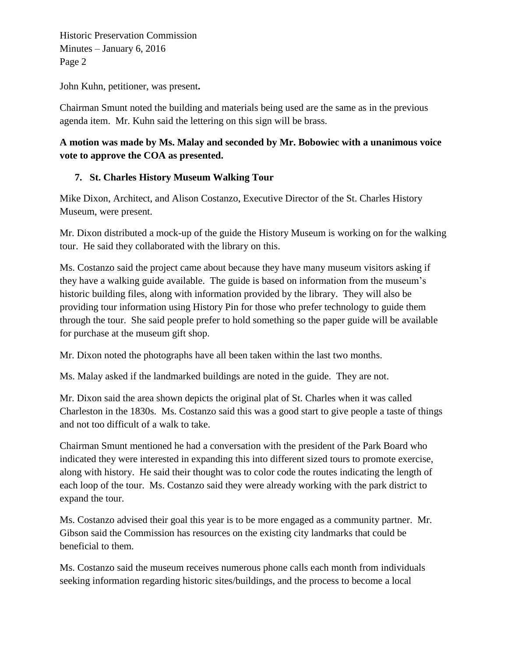Historic Preservation Commission Minutes – January 6, 2016 Page 2

John Kuhn, petitioner, was present**.** 

Chairman Smunt noted the building and materials being used are the same as in the previous agenda item. Mr. Kuhn said the lettering on this sign will be brass.

# **A motion was made by Ms. Malay and seconded by Mr. Bobowiec with a unanimous voice vote to approve the COA as presented.**

# **7. St. Charles History Museum Walking Tour**

Mike Dixon, Architect, and Alison Costanzo, Executive Director of the St. Charles History Museum, were present.

Mr. Dixon distributed a mock-up of the guide the History Museum is working on for the walking tour. He said they collaborated with the library on this.

Ms. Costanzo said the project came about because they have many museum visitors asking if they have a walking guide available. The guide is based on information from the museum's historic building files, along with information provided by the library. They will also be providing tour information using History Pin for those who prefer technology to guide them through the tour. She said people prefer to hold something so the paper guide will be available for purchase at the museum gift shop.

Mr. Dixon noted the photographs have all been taken within the last two months.

Ms. Malay asked if the landmarked buildings are noted in the guide. They are not.

Mr. Dixon said the area shown depicts the original plat of St. Charles when it was called Charleston in the 1830s. Ms. Costanzo said this was a good start to give people a taste of things and not too difficult of a walk to take.

Chairman Smunt mentioned he had a conversation with the president of the Park Board who indicated they were interested in expanding this into different sized tours to promote exercise, along with history. He said their thought was to color code the routes indicating the length of each loop of the tour. Ms. Costanzo said they were already working with the park district to expand the tour.

Ms. Costanzo advised their goal this year is to be more engaged as a community partner. Mr. Gibson said the Commission has resources on the existing city landmarks that could be beneficial to them.

Ms. Costanzo said the museum receives numerous phone calls each month from individuals seeking information regarding historic sites/buildings, and the process to become a local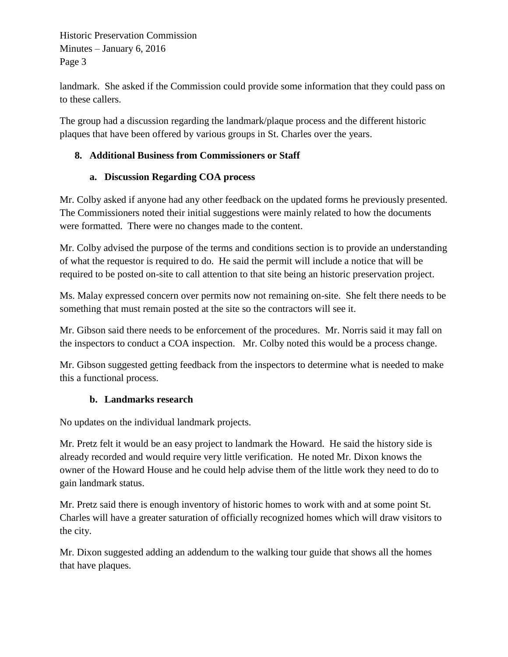Historic Preservation Commission Minutes – January 6, 2016 Page 3

landmark. She asked if the Commission could provide some information that they could pass on to these callers.

The group had a discussion regarding the landmark/plaque process and the different historic plaques that have been offered by various groups in St. Charles over the years.

# **8. Additional Business from Commissioners or Staff**

## **a. Discussion Regarding COA process**

Mr. Colby asked if anyone had any other feedback on the updated forms he previously presented. The Commissioners noted their initial suggestions were mainly related to how the documents were formatted. There were no changes made to the content.

Mr. Colby advised the purpose of the terms and conditions section is to provide an understanding of what the requestor is required to do. He said the permit will include a notice that will be required to be posted on-site to call attention to that site being an historic preservation project.

Ms. Malay expressed concern over permits now not remaining on-site. She felt there needs to be something that must remain posted at the site so the contractors will see it.

Mr. Gibson said there needs to be enforcement of the procedures. Mr. Norris said it may fall on the inspectors to conduct a COA inspection. Mr. Colby noted this would be a process change.

Mr. Gibson suggested getting feedback from the inspectors to determine what is needed to make this a functional process.

## **b. Landmarks research**

No updates on the individual landmark projects.

Mr. Pretz felt it would be an easy project to landmark the Howard. He said the history side is already recorded and would require very little verification. He noted Mr. Dixon knows the owner of the Howard House and he could help advise them of the little work they need to do to gain landmark status.

Mr. Pretz said there is enough inventory of historic homes to work with and at some point St. Charles will have a greater saturation of officially recognized homes which will draw visitors to the city.

Mr. Dixon suggested adding an addendum to the walking tour guide that shows all the homes that have plaques.